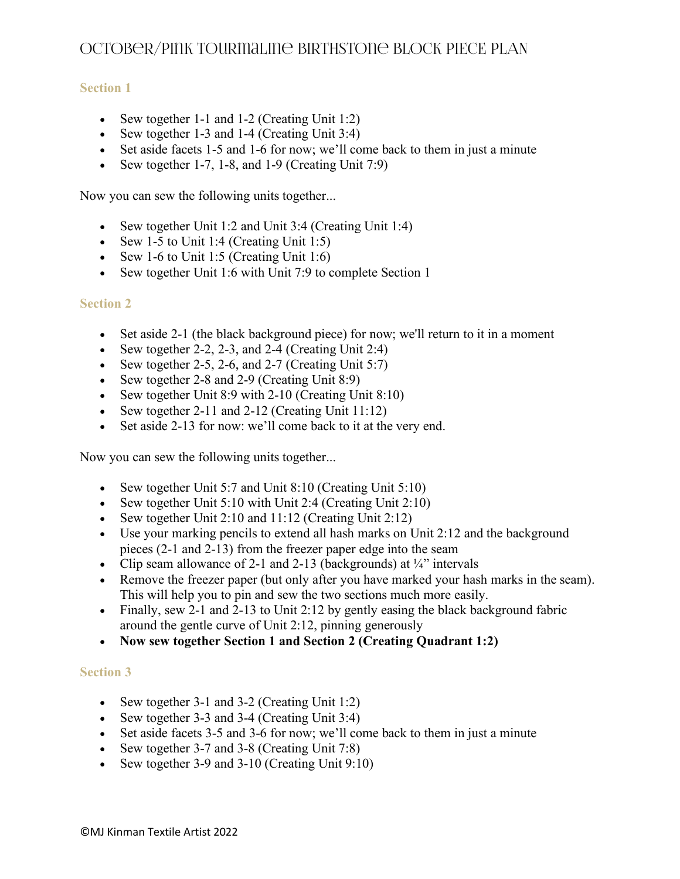## **Section 1**

- Sew together 1-1 and 1-2 (Creating Unit 1:2)
- Sew together 1-3 and 1-4 (Creating Unit 3:4)
- Set aside facets 1-5 and 1-6 for now; we'll come back to them in just a minute
- Sew together 1-7, 1-8, and 1-9 (Creating Unit 7:9)

Now you can sew the following units together...

- Sew together Unit 1:2 and Unit 3:4 (Creating Unit 1:4)
- Sew 1-5 to Unit 1:4 (Creating Unit 1:5)
- Sew 1-6 to Unit 1:5 (Creating Unit 1:6)
- Sew together Unit 1:6 with Unit 7:9 to complete Section 1

#### **Section 2**

- Set aside 2-1 (the black background piece) for now; we'll return to it in a moment
- Sew together 2-2, 2-3, and 2-4 (Creating Unit 2:4)
- Sew together 2-5, 2-6, and 2-7 (Creating Unit 5:7)
- Sew together 2-8 and 2-9 (Creating Unit 8:9)
- Sew together Unit 8:9 with 2-10 (Creating Unit 8:10)
- Sew together 2-11 and 2-12 (Creating Unit 11:12)
- Set aside 2-13 for now: we'll come back to it at the very end.

Now you can sew the following units together...

- Sew together Unit 5:7 and Unit 8:10 (Creating Unit 5:10)
- Sew together Unit 5:10 with Unit 2:4 (Creating Unit 2:10)
- Sew together Unit 2:10 and 11:12 (Creating Unit 2:12)
- Use your marking pencils to extend all hash marks on Unit 2:12 and the background pieces (2-1 and 2-13) from the freezer paper edge into the seam
- Clip seam allowance of 2-1 and 2-13 (backgrounds) at  $\frac{1}{4}$  intervals
- Remove the freezer paper (but only after you have marked your hash marks in the seam). This will help you to pin and sew the two sections much more easily.
- Finally, sew 2-1 and 2-13 to Unit 2:12 by gently easing the black background fabric around the gentle curve of Unit 2:12, pinning generously
- **Now sew together Section 1 and Section 2 (Creating Quadrant 1:2)**

#### **Section 3**

- Sew together 3-1 and 3-2 (Creating Unit 1:2)
- Sew together 3-3 and 3-4 (Creating Unit 3:4)
- Set aside facets 3-5 and 3-6 for now; we'll come back to them in just a minute
- Sew together 3-7 and 3-8 (Creating Unit 7:8)
- Sew together 3-9 and 3-10 (Creating Unit 9:10)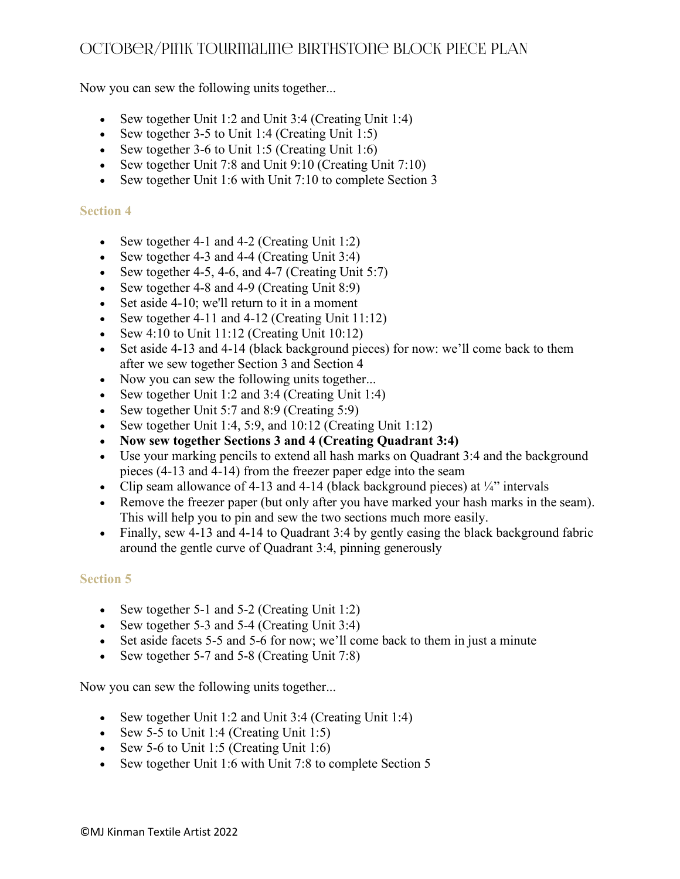Now you can sew the following units together...

- Sew together Unit 1:2 and Unit 3:4 (Creating Unit 1:4)
- Sew together 3-5 to Unit 1:4 (Creating Unit 1:5)
- Sew together 3-6 to Unit 1:5 (Creating Unit 1:6)
- Sew together Unit 7:8 and Unit 9:10 (Creating Unit 7:10)
- Sew together Unit 1:6 with Unit 7:10 to complete Section 3

### **Section 4**

- Sew together 4-1 and 4-2 (Creating Unit 1:2)
- Sew together 4-3 and 4-4 (Creating Unit 3:4)
- Sew together 4-5, 4-6, and 4-7 (Creating Unit  $5:7$ )
- Sew together 4-8 and 4-9 (Creating Unit 8:9)
- Set aside 4-10; we'll return to it in a moment
- Sew together 4-11 and 4-12 (Creating Unit  $11:12$ )
- Sew  $4:10$  to Unit  $11:12$  (Creating Unit  $10:12$ )
- Set aside 4-13 and 4-14 (black background pieces) for now: we'll come back to them after we sew together Section 3 and Section 4
- Now you can sew the following units together...
- Sew together Unit 1:2 and 3:4 (Creating Unit 1:4)
- Sew together Unit 5:7 and 8:9 (Creating 5:9)
- Sew together Unit 1:4, 5:9, and 10:12 (Creating Unit 1:12)
- **Now sew together Sections 3 and 4 (Creating Quadrant 3:4)**
- Use your marking pencils to extend all hash marks on Quadrant 3:4 and the background pieces (4-13 and 4-14) from the freezer paper edge into the seam
- Clip seam allowance of 4-13 and 4-14 (black background pieces) at  $\frac{1}{4}$  intervals
- Remove the freezer paper (but only after you have marked your hash marks in the seam). This will help you to pin and sew the two sections much more easily.
- Finally, sew 4-13 and 4-14 to Quadrant 3:4 by gently easing the black background fabric around the gentle curve of Quadrant 3:4, pinning generously

## **Section 5**

- Sew together 5-1 and 5-2 (Creating Unit 1:2)
- Sew together 5-3 and 5-4 (Creating Unit 3:4)
- Set aside facets 5-5 and 5-6 for now; we'll come back to them in just a minute
- Sew together 5-7 and 5-8 (Creating Unit 7:8)

Now you can sew the following units together...

- Sew together Unit 1:2 and Unit 3:4 (Creating Unit 1:4)
- Sew 5-5 to Unit 1:4 (Creating Unit 1:5)
- Sew 5-6 to Unit 1:5 (Creating Unit 1:6)
- Sew together Unit 1:6 with Unit 7:8 to complete Section 5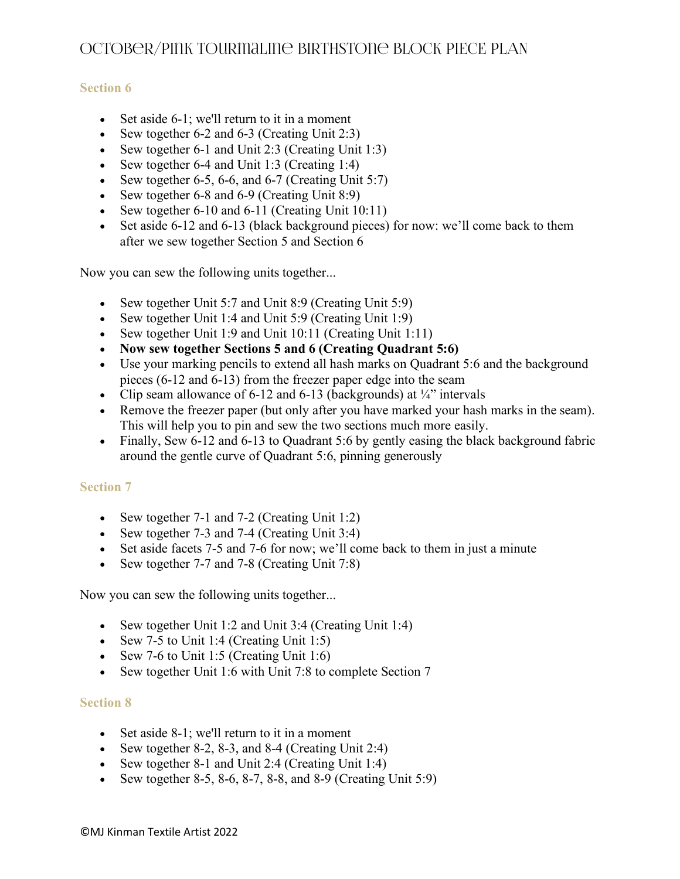## **Section 6**

- Set aside 6-1; we'll return to it in a moment
- Sew together 6-2 and 6-3 (Creating Unit 2:3)
- Sew together 6-1 and Unit 2:3 (Creating Unit 1:3)
- Sew together 6-4 and Unit 1:3 (Creating 1:4)
- Sew together 6-5, 6-6, and 6-7 (Creating Unit 5:7)
- Sew together 6-8 and 6-9 (Creating Unit 8:9)
- Sew together 6-10 and 6-11 (Creating Unit 10:11)
- Set aside 6-12 and 6-13 (black background pieces) for now: we'll come back to them after we sew together Section 5 and Section 6

Now you can sew the following units together...

- Sew together Unit 5:7 and Unit 8:9 (Creating Unit 5:9)
- Sew together Unit 1:4 and Unit 5:9 (Creating Unit 1:9)
- Sew together Unit 1:9 and Unit 10:11 (Creating Unit 1:11)
- **Now sew together Sections 5 and 6 (Creating Quadrant 5:6)**
- Use your marking pencils to extend all hash marks on Quadrant 5:6 and the background pieces (6-12 and 6-13) from the freezer paper edge into the seam
- Clip seam allowance of 6-12 and 6-13 (backgrounds) at  $\frac{1}{4}$ " intervals
- Remove the freezer paper (but only after you have marked your hash marks in the seam). This will help you to pin and sew the two sections much more easily.
- Finally, Sew 6-12 and 6-13 to Quadrant 5:6 by gently easing the black background fabric around the gentle curve of Quadrant 5:6, pinning generously

#### **Section 7**

- Sew together 7-1 and 7-2 (Creating Unit 1:2)
- Sew together 7-3 and 7-4 (Creating Unit 3:4)
- Set aside facets 7-5 and 7-6 for now; we'll come back to them in just a minute
- Sew together 7-7 and 7-8 (Creating Unit 7:8)

Now you can sew the following units together...

- Sew together Unit 1:2 and Unit 3:4 (Creating Unit 1:4)
- Sew 7-5 to Unit 1:4 (Creating Unit 1:5)
- Sew 7-6 to Unit 1:5 (Creating Unit 1:6)
- Sew together Unit 1:6 with Unit 7:8 to complete Section 7

#### **Section 8**

- Set aside 8-1; we'll return to it in a moment
- Sew together 8-2, 8-3, and 8-4 (Creating Unit 2:4)
- Sew together 8-1 and Unit 2:4 (Creating Unit 1:4)
- Sew together 8-5, 8-6, 8-7, 8-8, and 8-9 (Creating Unit  $5:9$ )